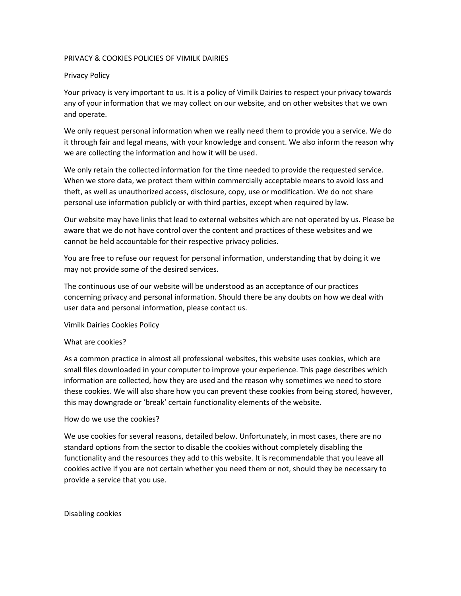## PRIVACY & COOKIES POLICIES OF VIMILK DAIRIES

## Privacy Policy

Your privacy is very important to us. It is a policy of Vimilk Dairies to respect your privacy towards any of your information that we may collect on our website, and on other websites that we own and operate.

We only request personal information when we really need them to provide you a service. We do it through fair and legal means, with your knowledge and consent. We also inform the reason why we are collecting the information and how it will be used.

We only retain the collected information for the time needed to provide the requested service. When we store data, we protect them within commercially acceptable means to avoid loss and theft, as well as unauthorized access, disclosure, copy, use or modification. We do not share personal use information publicly or with third parties, except when required by law.

Our website may have links that lead to external websites which are not operated by us. Please be aware that we do not have control over the content and practices of these websites and we cannot be held accountable for their respective privacy policies.

You are free to refuse our request for personal information, understanding that by doing it we may not provide some of the desired services.

The continuous use of our website will be understood as an acceptance of our practices concerning privacy and personal information. Should there be any doubts on how we deal with user data and personal information, please contact us.

Vimilk Dairies Cookies Policy

# What are cookies?

As a common practice in almost all professional websites, this website uses cookies, which are small files downloaded in your computer to improve your experience. This page describes which information are collected, how they are used and the reason why sometimes we need to store these cookies. We will also share how you can prevent these cookies from being stored, however, this may downgrade or 'break' certain functionality elements of the website.

# How do we use the cookies?

We use cookies for several reasons, detailed below. Unfortunately, in most cases, there are no standard options from the sector to disable the cookies without completely disabling the functionality and the resources they add to this website. It is recommendable that you leave all cookies active if you are not certain whether you need them or not, should they be necessary to provide a service that you use.

Disabling cookies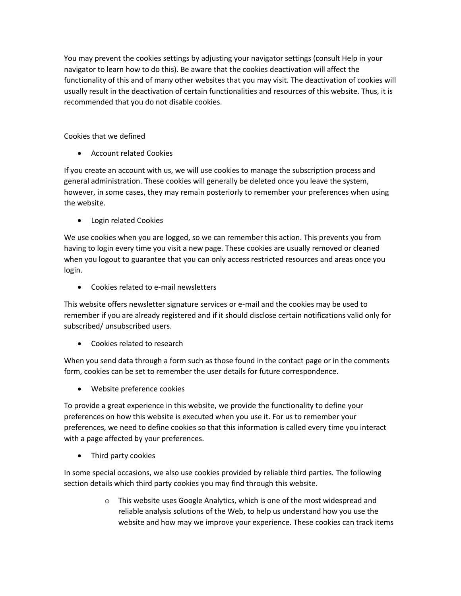You may prevent the cookies settings by adjusting your navigator settings (consult Help in your navigator to learn how to do this). Be aware that the cookies deactivation will affect the functionality of this and of many other websites that you may visit. The deactivation of cookies will usually result in the deactivation of certain functionalities and resources of this website. Thus, it is recommended that you do not disable cookies.

Cookies that we defined

• Account related Cookies

If you create an account with us, we will use cookies to manage the subscription process and general administration. These cookies will generally be deleted once you leave the system, however, in some cases, they may remain posteriorly to remember your preferences when using the website.

• Login related Cookies

We use cookies when you are logged, so we can remember this action. This prevents you from having to login every time you visit a new page. These cookies are usually removed or cleaned when you logout to guarantee that you can only access restricted resources and areas once you login.

• Cookies related to e-mail newsletters

This website offers newsletter signature services or e-mail and the cookies may be used to remember if you are already registered and if it should disclose certain notifications valid only for subscribed/ unsubscribed users.

• Cookies related to research

When you send data through a form such as those found in the contact page or in the comments form, cookies can be set to remember the user details for future correspondence.

• Website preference cookies

To provide a great experience in this website, we provide the functionality to define your preferences on how this website is executed when you use it. For us to remember your preferences, we need to define cookies so that this information is called every time you interact with a page affected by your preferences.

Third party cookies

In some special occasions, we also use cookies provided by reliable third parties. The following section details which third party cookies you may find through this website.

> o This website uses Google Analytics, which is one of the most widespread and reliable analysis solutions of the Web, to help us understand how you use the website and how may we improve your experience. These cookies can track items